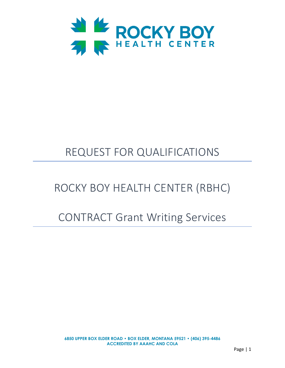

# REQUEST FOR QUALIFICATIONS

## ROCKY BOY HEALTH CENTER (RBHC)

## CONTRACT Grant Writing Services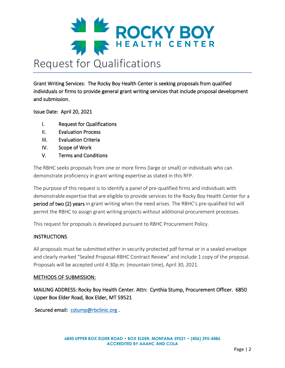

Grant Writing Services: The Rocky Boy Health Center is seeking proposals from qualified individuals or firms to provide general grant writing services that include proposal development and submission.

Issue Date: April 20, 2021

- I. Request for Qualifications
- II. Evaluation Process
- III. Evaluation Criteria
- IV. Scope of Work
- V. Terms and Conditions

The RBHC seeks proposals from one or more firms (large or small) or individuals who can demonstrate proficiency in grant writing expertise as stated in this RFP.

The purpose of this request is to identify a panel of pre-qualified firms and individuals with demonstrable expertise that are eligible to provide services to the Rocky Boy Health Center for a period of two (2) years in grant writing when the need arises. The RBHC's pre-qualified list will permit the RBHC to assign grant writing projects without additional procurement processes.

This request for proposals is developed pursuant to RBHC Procurement Policy.

## INSTRUCTIONS

All proposals must be submitted either in security protected pdf format or in a sealed envelope and clearly marked "Sealed Proposal-RBHC Contract Review" and include 1 copy of the proposal. Proposals will be accepted until 4:30p.m. (mountain time), April 30, 2021.

#### METHODS OF SUBMISSION:

MAILING ADDRESS: Rocky Boy Health Center. Attn: Cynthia Stump, Procurement Officer. 6850 Upper Box Elder Road, Box Elder, MT 59521

Secured email: cstump@rbclinic.org.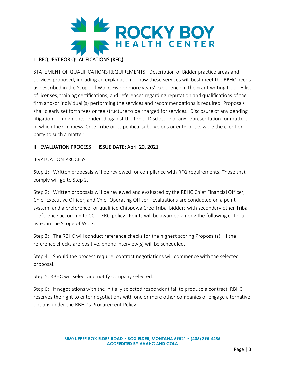

## I. REQUEST FOR QUALIFICATIONS (RFQ)

STATEMENT OF QUALIFICATIONS REQUIREMENTS: Description of Bidder practice areas and services proposed, including an explanation of how these services will best meet the RBHC needs as described in the Scope of Work. Five or more years' experience in the grant writing field. A list of licenses, training certifications, and references regarding reputation and qualifications of the firm and/or individual (s) performing the services and recommendations is required. Proposals shall clearly set forth fees or fee structure to be charged for services. Disclosure of any pending litigation or judgments rendered against the firm. Disclosure of any representation for matters in which the Chippewa Cree Tribe or its political subdivisions or enterprises were the client or party to such a matter.

## II. EVALUATION PROCESS ISSUE DATE: April 20, 2021

## EVALUATION PROCESS

Step 1: Written proposals will be reviewed for compliance with RFQ requirements. Those that comply will go to Step 2.

Step 2: Written proposals will be reviewed and evaluated by the RBHC Chief Financial Officer, Chief Executive Officer, and Chief Operating Officer. Evaluations are conducted on a point system, and a preference for qualified Chippewa Cree Tribal bidders with secondary other Tribal preference according to CCT TERO policy. Points will be awarded among the following criteria listed in the Scope of Work.

Step 3: The RBHC will conduct reference checks for the highest scoring Proposal(s). If the reference checks are positive, phone interview(s) will be scheduled.

Step 4: Should the process require; contract negotiations will commence with the selected proposal.

Step 5: RBHC will select and notify company selected.

Step 6: If negotiations with the initially selected respondent fail to produce a contract, RBHC reserves the right to enter negotiations with one or more other companies or engage alternative options under the RBHC's Procurement Policy.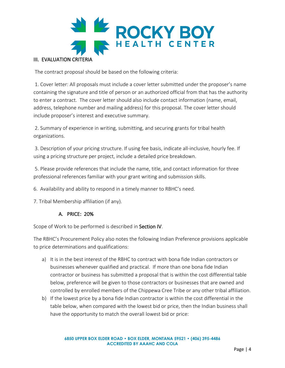

The contract proposal should be based on the following criteria:

1. Cover letter: All proposals must include a cover letter submitted under the proposer's name containing the signature and title of person or an authorized official from that has the authority to enter a contract. The cover letter should also include contact information (name, email, address, telephone number and mailing address) for this proposal. The cover letter should include proposer's interest and executive summary.

2. Summary of experience in writing, submitting, and securing grants for tribal health organizations.

3. Description of your pricing structure. If using fee basis, indicate all-inclusive, hourly fee. If using a pricing structure per project, include a detailed price breakdown.

5. Please provide references that include the name, title, and contact information for three professional references familiar with your grant writing and submission skills.

6. Availability and ability to respond in a timely manner to RBHC's need.

7. Tribal Membership affiliation (if any).

## A. PRICE: 20%

Scope of Work to be performed is described in Section IV.

The RBHC's Procurement Policy also notes the following Indian Preference provisions applicable to price determinations and qualifications:

- a) It is in the best interest of the RBHC to contract with bona fide Indian contractors or businesses whenever qualified and practical. If more than one bona fide Indian contractor or business has submitted a proposal that is within the cost differential table below, preference will be given to those contractors or businesses that are owned and controlled by enrolled members of the Chippewa Cree Tribe or any other tribal affiliation.
- b) If the lowest price by a bona fide Indian contractor is within the cost differential in the table below, when compared with the lowest bid or price, then the Indian business shall have the opportunity to match the overall lowest bid or price: